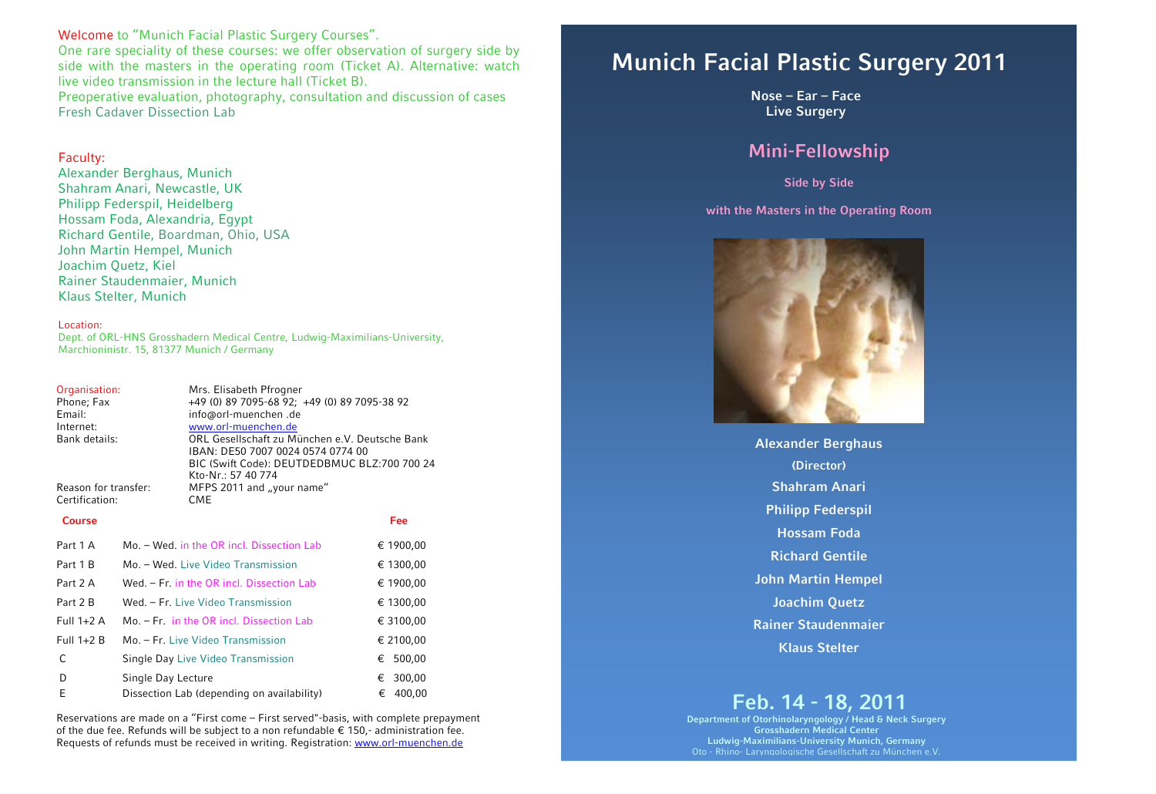## Welcome to "Munich Facial Plastic Surgery Courses".

One rare speciality of these courses: we offer observation of surgery side by side with the masters in the operating room (Ticket A). Alternative: watch live video transmission in the lecture hall (Ticket B).

Preoperative evaluation, photography, consultation and discussion of cases Fresh Cadaver Dissection Lab

## Faculty:

Alexander Berghaus, Munich Shahram Anari, Newcastle, UK Philipp Federspil, Heidelberg Hossam Foda, Alexandria, Egypt Richard Gentile, Boardman, Ohio, USA John Martin Hempel, Munich Joachim Quetz, Kiel Rainer Staudenmaier, Munich Klaus Stelter, Munich

### Location:

Dept. of ORL-HNS Grosshadern Medical Centre, Ludwig-Maximilians-University, Marchioninistr. 15, 81377 Munich / Germany

| Organisation:        | Mrs. Elisabeth Pfrogner                                              |  |  |  |
|----------------------|----------------------------------------------------------------------|--|--|--|
| Phone; Fax<br>Email: | +49 (0) 89 7095-68 92; +49 (0) 89 7095-38 92<br>info@orl-muenchen.de |  |  |  |
| Internet:            | www.orl-muenchen.de                                                  |  |  |  |
| Bank details:        | ORL Gesellschaft zu München e.V. Deutsche Bank                       |  |  |  |
|                      | IBAN: DE50 7007 0024 0574 0774 00                                    |  |  |  |
|                      | BIC (Swift Code): DEUTDEDBMUC BLZ:700 700 24                         |  |  |  |
|                      | Kto-Nr.: 57 40 774                                                   |  |  |  |
| Reason for transfer: | MFPS 2011 and "your name"                                            |  |  |  |
| Certification:       | CME                                                                  |  |  |  |

#### **Course Fee**

| Part 1 A     | Mo. – Wed, in the OR incl. Dissection Lab  | € 1900,00   |
|--------------|--------------------------------------------|-------------|
| Part 1 B     | Mo. - Wed. Live Video Transmission         | € 1300,00   |
| Part 2 A     | Wed. - Fr. in the OR incl. Dissection Lab  | € 1900,00   |
| Part 2 B     | Wed. - Fr. Live Video Transmission         | € 1300,00   |
| Full $1+2$ A | Mo. - Fr. in the OR incl. Dissection Lab   | € 3100,00   |
| Full $1+2B$  | Mo. – Fr. Live Video Transmission          | € 2100,00   |
| C            | Single Day Live Video Transmission         | € 500,00    |
| D            | Single Day Lecture                         | 300,00<br>€ |
| E            | Dissection Lab (depending on availability) | 400,00<br>€ |

Reservations are made on a "First come – First served"-basis, with complete prepayment of the due fee. Refunds will be subject to a non refundable  $\epsilon$  150,- administration fee. Requests of refunds must be received in writing. Registration: [www.orl-muenchen.de](http://www.orl-muenchen.de/) 

# **Munich Facial Plastic Surgery 2011**

**Nose – Ear – Face Live Surgery**

# **Mini-Fellowship**

**Side by Side** 

### **with the Masters in the Operating Room**



**Alexander Berghaus (Director) Shahram Anari Philipp Federspil Hossam Foda Richard Gentile John Martin Hempel Joachim Quetz Rainer Staudenmaier Klaus Stelter**

# **Feb. 14 - 18, 2011**

**Department of Otorhinolaryngology / Head & Neck Surgery Grosshadern Medical Center Ludwig-Maximilians-University Munich, Germany**